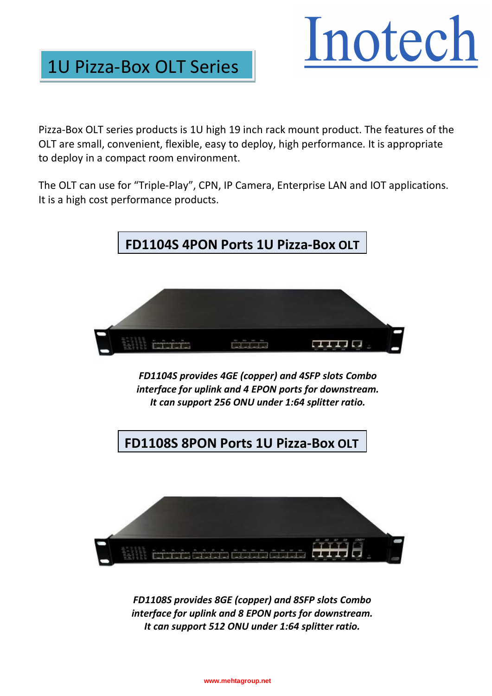## Inotech

Pizza-Box OLT series products is 1U high 19 inch rack mount product. The features of the OLT are small, convenient, flexible, easy to deploy, high performance. It is appropriate to deploy in a compact room environment.

1U Pizza-Box OLT Series

The OLT can use for "Triple-Play", CPN, IP Camera, Enterprise LAN and IOT applications. It is a high cost performance products.



*FD1104S provides 4GE (copper) and 4SFP slots Combo interface for uplink and 4 EPON ports for downstream. It can support 256 ONU under 1:64 splitter ratio.*

**FD1108S 8PON Ports 1U Pizza-Box OLT**



*FD1108S provides 8GE (copper) and 8SFP slots Combo interface for uplink and 8 EPON ports for downstream. It can support 512 ONU under 1:64 splitter ratio.*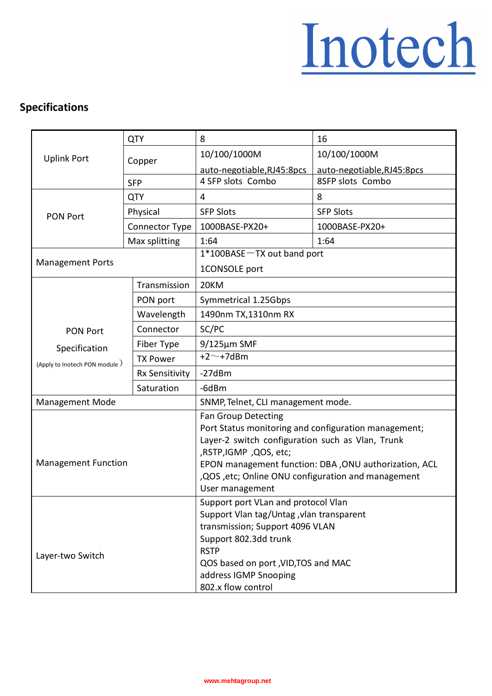## Inotech

## **Specifications**

| <b>Uplink Port</b>            | <b>QTY</b>            | 8                                                                             | 16                         |
|-------------------------------|-----------------------|-------------------------------------------------------------------------------|----------------------------|
|                               | Copper                | 10/100/1000M                                                                  | 10/100/1000M               |
|                               |                       | auto-negotiable, RJ45:8pcs                                                    | auto-negotiable, RJ45:8pcs |
|                               | <b>SFP</b>            | 4 SFP slots Combo                                                             | 8SFP slots Combo           |
| <b>PON Port</b>               | <b>QTY</b>            | 4                                                                             | 8                          |
|                               | Physical              | <b>SFP Slots</b>                                                              | <b>SFP Slots</b>           |
|                               | Connector Type        | 1000BASE-PX20+                                                                | 1000BASE-PX20+             |
|                               | Max splitting         | 1:64                                                                          | 1:64                       |
| <b>Management Ports</b>       |                       | 1*100BASE-TX out band port                                                    |                            |
|                               |                       | 1CONSOLE port                                                                 |                            |
|                               | Transmission          | 20KM                                                                          |                            |
|                               | PON port              | Symmetrical 1.25Gbps                                                          |                            |
|                               | Wavelength            | 1490nm TX, 1310nm RX                                                          |                            |
| <b>PON Port</b>               | Connector             | SC/PC                                                                         |                            |
| Specification                 | Fiber Type            | $9/125 \mu m$ SMF                                                             |                            |
| (Apply to Inotech PON module) | <b>TX Power</b>       | $+2$ ~ +7dBm                                                                  |                            |
|                               | <b>Rx Sensitivity</b> | $-27dBm$                                                                      |                            |
|                               | Saturation            | -6dBm                                                                         |                            |
| <b>Management Mode</b>        |                       | SNMP, Telnet, CLI management mode.                                            |                            |
|                               |                       | Fan Group Detecting                                                           |                            |
|                               |                       | Port Status monitoring and configuration management;                          |                            |
|                               |                       | Layer-2 switch configuration such as Vlan, Trunk                              |                            |
| <b>Management Function</b>    |                       | ,RSTP,IGMP,QOS, etc;<br>EPON management function: DBA, ONU authorization, ACL |                            |
|                               |                       | , QOS , etc; Online ONU configuration and management                          |                            |
|                               |                       | User management                                                               |                            |
|                               |                       | Support port VLan and protocol Vlan                                           |                            |
|                               |                       | Support Vlan tag/Untag , vlan transparent                                     |                            |
| Layer-two Switch              |                       | transmission; Support 4096 VLAN                                               |                            |
|                               |                       | Support 802.3dd trunk                                                         |                            |
|                               |                       | <b>RSTP</b>                                                                   |                            |
|                               |                       | QOS based on port , VID, TOS and MAC                                          |                            |
|                               |                       | address IGMP Snooping                                                         |                            |
|                               |                       | 802.x flow control                                                            |                            |